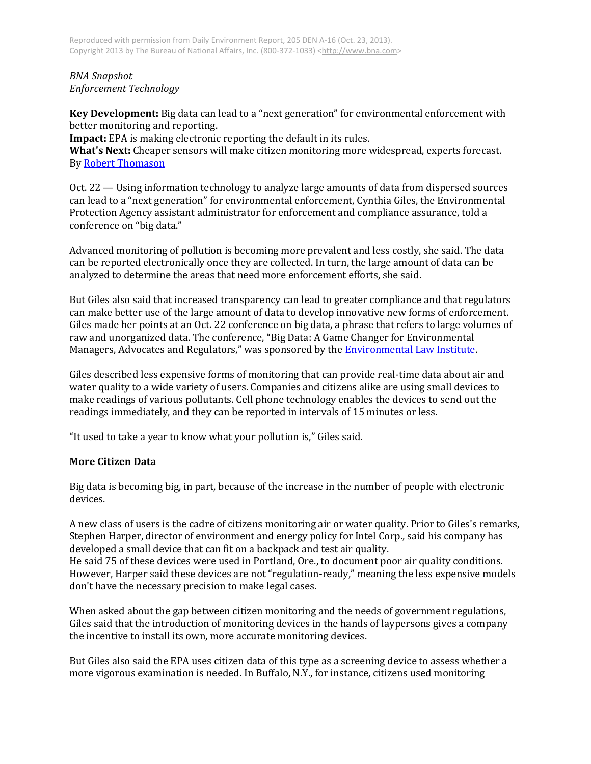## *BNA Snapshot Enforcement Technology*

**Key Development:** Big data can lead to a "next generation" for environmental enforcement with better monitoring and reporting.

**Impact:** EPA is making electronic reporting the default in its rules.

**What's Next:** Cheaper sensors will make citizen monitoring more widespread, experts forecast. B[y Robert Thomason](mailto:rthomason@bna.com)

Oct. 22 — Using information technology to analyze large amounts of data from dispersed sources can lead to a "next generation" for environmental enforcement, Cynthia Giles, the Environmental Protection Agency assistant administrator for enforcement and compliance assurance, told a conference on "big data."

Advanced monitoring of pollution is becoming more prevalent and less costly, she said. The data can be reported electronically once they are collected. In turn, the large amount of data can be analyzed to determine the areas that need more enforcement efforts, she said.

But Giles also said that increased transparency can lead to greater compliance and that regulators can make better use of the large amount of data to develop innovative new forms of enforcement. Giles made her points at an Oct. 22 conference on big data, a phrase that refers to large volumes of raw and unorganized data. The conference, "Big Data: A Game Changer for Environmental Managers, Advocates and Regulators," was sponsored by the **Environmental Law Institute**.

Giles described less expensive forms of monitoring that can provide real-time data about air and water quality to a wide variety of users. Companies and citizens alike are using small devices to make readings of various pollutants. Cell phone technology enables the devices to send out the readings immediately, and they can be reported in intervals of 15 minutes or less.

"It used to take a year to know what your pollution is," Giles said.

## **More Citizen Data**

Big data is becoming big, in part, because of the increase in the number of people with electronic devices.

A new class of users is the cadre of citizens monitoring air or water quality. Prior to Giles's remarks, Stephen Harper, director of environment and energy policy for Intel Corp., said his company has developed a small device that can fit on a backpack and test air quality.

He said 75 of these devices were used in Portland, Ore., to document poor air quality conditions. However, Harper said these devices are not "regulation-ready," meaning the less expensive models don't have the necessary precision to make legal cases.

When asked about the gap between citizen monitoring and the needs of government regulations, Giles said that the introduction of monitoring devices in the hands of laypersons gives a company the incentive to install its own, more accurate monitoring devices.

But Giles also said the EPA uses citizen data of this type as a screening device to assess whether a more vigorous examination is needed. In Buffalo, N.Y., for instance, citizens used monitoring